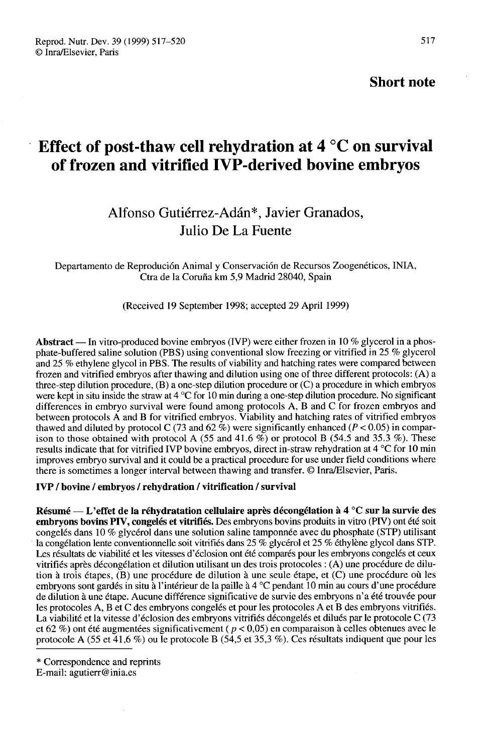### Short note

# Effect of post-thaw cell rehydration at 4 °C on survival of frozen and vitrified IVP-derived bovine embryos

## Alfonso Gutiérrez-Adán<sup>\*</sup>, Javier Granados, Julio De La Fuente

Departamento de Reproducíón Animal y Conservacion de Recursos Zoogenétícos, INIA, Ctra de 1a Coruña km 5,9 Madrid 28040, Spain

(Received 19 September 1998; accepted 29 April 1999)

Abstract — In vitro-produced bovine embryos (IVP) were either frozen in 10 % glycerol in a phosphate-buffered saline solution (PBS) using conventional slow freezing or vitrified in 25 % glycerol and 25 % ethylene glycol in PBS. The results of viability and hatching rates were compared between frozen and vitrified embryos after thawing and dilution using one of three different protocols: (A) a three-step dilution procedure, (B) a one-step dilution procedure or (C) a procedure in which embryos were kept in situ inside the straw at 4 °C for 10 min during a one-step dilution procedure. No significant differences in embryo survival were found among protocols A, B and C for frozen embryos and between protocols A and B for vitrified embryos. Viability and hatching rates of vitrified embryos thawed and diluted by protocol C (73 and 62 %) were significantly enhanced ( $P < 0.05$ ) in comparison to those obtained with protocol A (55 and 41.6  $\%$ ) or protocol B (54.5 and 35.3  $\%$ ). These results indicate that for vitrified IVP bovine embryos, direct in-straw rehydration at 4 °C for 10 min improves embryo survival and it could be a practical procedure for use under field conditions where there is sometimes a longer interval between thawing and transfer. @ Inra/Elsevier, Paris.

#### IVP / bovine / embryos / rehydration / vitrification / survival

Résumé ― L'effet de la réhydratation cellulaire après décongélation à 4 °C sur la survie des embryons bovins PIV, congelés et vitrifiés. Des embryons bovins produits in vitro (PIV) ont été soit congelés dans 10 % glycérol dans une solution saline tamponnée avec du phosphate (STP) utilisant la congélation lente conventionnelle soit vitrifiés dans 25 % glycérol et 25 % éthylène glycol dans STP. Les résultats de viabilité et les vitesses d'éclosion ont été comparés pour les embryons congelés et ceux vitrifiés après décongélation et dilution utilisant un des trois protocoles : (A) une procédure de dilution à trois étapes, (B) une procédure de dilution à une seule étape, et (C) une procédure où les embryons sont gardés in situ à l'intérieur de la paille à 4 °C pendant 10 min au cours d'une procédure de dilution à une étape. Aucune différence significative de survie des embryons n' été trouvée pour les protocoles A, B et C des embryons congelés et pour les protocoles A et B des embryons vitrifiés. La viabilité et la vitesse d'éclosion des embryons vitrifiés décongelés et dilués par le protocole C (73 et 62 %) ont été augmentées significativement ( $p < 0.05$ ) en comparaison à celles obtenues avec le protocole A (55 et 41,6 %) ou le protocole B (54,5 et 35,3 %). Ces résultats indiquent que pour les

<sup>\*</sup> Correspondence and reprints

E-mail: agutierr@inia.es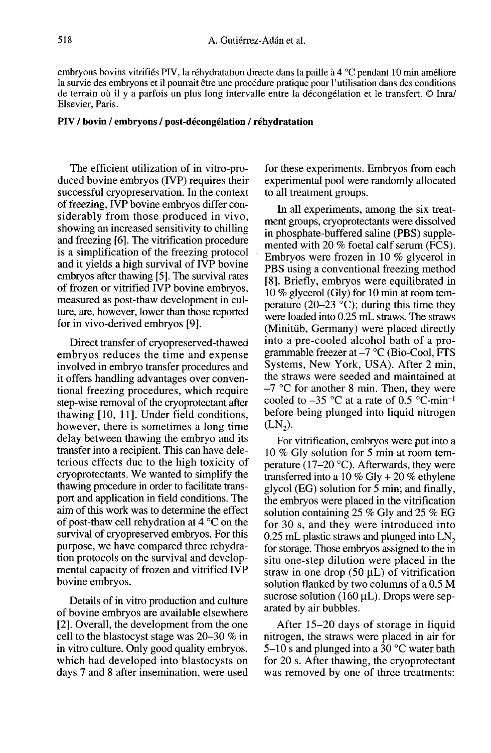embryons bovins vitrifiés PIV, la réhydratation directe dans la paille à 4 °C pendant 10 min améliore la survie des embryons et il pourrait être une procédure pratique pour l'utilisation dans des conditions de terrain où il y a parfois un plus long intervalle entre la décongélation et le transfert. @ Inra/ Elsevier, Paris.

#### PIV / bovin / embryons / post-décongélation / réhydratation

The efficient utilization of in vitro-produced bovine embryos (IVP) requires their successful cryopreservation. In the context of freezing, IVP bovine embryos differ considerably from those produced in vivo, showing an increased sensitivity to chilling and freezing [6]. The vitrification procedure is a simplification of the freezing protocol and it yields a high survival of IVP bovine embryos after thawing [5]. The survival rates of frozen or vitrified IVP bovine embryos, measured as post-thaw development in culture, are, however, lower than those reported for in vivo-derived embryos [9].

Direct transfer of cryopreserved-thawed embryos reduces the time and expense involved in embryo transfer procedures and it offers handling advantages over conventional freezing procedures, which require step-wise removal of the cryoprotectant after thawing [10, 11]. Under field conditions, however, there is sometimes a long time delay between thawing the embryo and its transfer into a recipient. This can have deleterious effects due to the high toxicity of cryoprotectants. We wanted to simplify the thawing procedure in order to facilitate transport and application in field conditions. The aim of this work was to determine the effect of post-thaw cell rehydration at 4 °C on the survival of cryopreserved embryos. For this purpose, we have compared three rehydration protocols on the survival and developmental capacity of frozen and vitrified IVP bovine embryos.

Details of in vitro production and culture of bovine embryos are available elsewhere [2]. Overall, the development from the one cell to the blastocyst stage was 20-30 % in in vitro culture. Only good quality embryos, which had developed into blastocysts on days 7 and 8 after insemination, were used for these experiments. Embryos from each experimental pool were randomly allocated to all treatment groups.

In all experiments, among the six treatment groups, cryoprotectants were dissolved in phosphate-buffered saline (PBS) supplemented with 20 % foetal calf serum (FCS). Embryos were frozen in 10 % glycerol in PBS using a conventional freezing method [8]. Briefly, embryos were equilibrated in 10 % glycerol (Gly) for 10 min at room temperature (20–23  $^{\circ}$ C); during this time they were loaded into 0.25 mL straws. The straws (Minitüb, Germany) were placed directly into a pre-cooled alcohol bath of a programmable freezer at  $-7$  °C (Bio-Cool, FTS Systems, New York, USA). After 2 min,<br>Systems, New York, USA). After 2 min,<br>the straws were seeded and maintained at<br> $-7$  °C for another 8 min. Then, they were<br>cooled to -35 °C at a rate of 0.5 °C·min<sup>-1</sup><br>before being plu the straws were seeded and maintained at  $-7$  °C for another 8 min. Then, they were before being plunged into liquid nitrogen  $(LN_2)$ . cooled to  $-35$  °C at a rate of 0.5 °C $\cdot$ min<sup>-1</sup>

For vitrification, embryos were put into a 10 % Gly solution for 5 min at room temperature ( $17-20$  °C). Afterwards, they were transferred into a  $10\%$  Gly +  $20\%$  ethylene glycol (EG) solution for 5 min; and finally, the embryos were placed in the vitrification solution containing 25 % Gly and 25 % EG for 30 s, and they were introduced into 0.25 mL plastic straws and plunged into LN<sub>2</sub> for storage. Those embryos assigned to the in situ one-step dilution were placed in the straw in one drop  $(50 \mu L)$  of vitrification solution flanked by two columns of a 0.5 M sucrose solution (160  $\mu$ L). Drops were separated by air bubbles.

After 15-20 days of storage in liquid nitrogen, the straws were placed in air for 5-10 s and plunged into a 30 °C water bath for 20 s. After thawing, the cryoprotectant was removed by one of three treatments: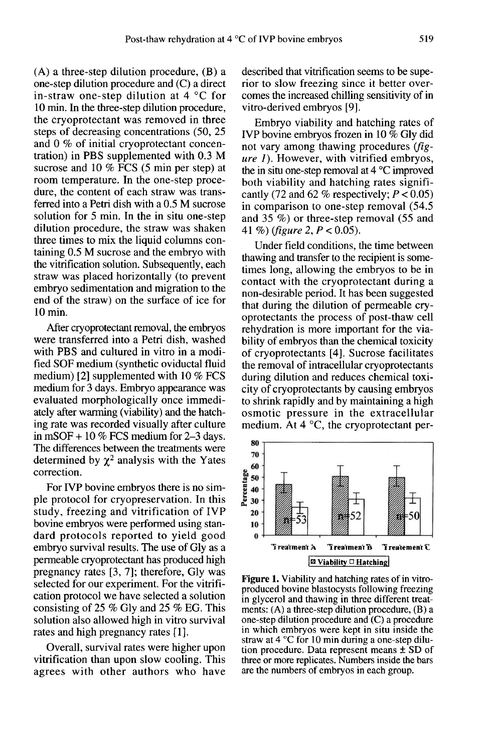(A) a three-step dilution procedure, (B) a one-step dilution procedure and (C) a direct in-straw one-step dilution at 4 °C for 10 min. In the three-step dilution procedure, the cryoprotectant was removed in three steps of decreasing concentrations (50, 25 and 0 % of initial cryoprotectant concentration) in PBS supplemented with 0.3 M sucrose and 10 % FCS (5 min per step) at room temperature. In the one-step procedure, the content of each straw was transferred into a Petri dish with a 0.5 M sucrose solution for 5 min. In the in situ one-step dilution procedure, the straw was shaken three times to mix the liquid columns containing 0.5 M sucrose and the embryo with the vitrification solution. Subsequently, each straw was placed horizontally (to prevent embryo sedimentation and migration to the end of the straw) on the surface of ice for 10 min.

After cryoprotectant removal, the embryos were transferred into a Petri dish, washed with PBS and cultured in vitro in a modified SOF medium (synthetic oviductal fluid medium) [2] supplemented with 10 % FCS medium for 3 days. Embryo appearance was evaluated morphologically once immediately after warming (viability) and the hatching rate was recorded visually after culture in mSOF  $+10\%$  FCS medium for 2–3 days. The differences between the treatments were in mSOF + 10 % FCS medium for 2–3 days.<br>The differences between the treatments were<br>determined by  $\chi^2$  analysis with the Yates<br>correction correction.

For IVP bovine embryos there is no simple protocol for cryopreservation. In this study, freezing and vitrification of IVP bovine embryos were performed using standard protocols reported to yield good embryo survival results. The use of Gly as a permeable cryoprotectant has produced high pregnancy rates [3, 7]; therefore, Gly was selected for our experiment. For the vitrification protocol we have selected a solution consisting of 25 % Gly and 25 % EG. This solution also allowed high in vitro survival rates and high pregnancy rates [1].

Overall, survival rates were higher upon vitrification than upon slow cooling. This agrees with other authors who have

described that vitrification seems to be superior to slow freezing since it better overcomes the increased chilling sensitivity of in vitro-derived embryos [9].

Embryo viability and hatching rates of IVP bovine embryos frozen in 10 % Gly did not vary among thawing procedures  $(fig$ ure 1). However, with vitrified embryos, the in situ one-step removal at 4 °C improved both viability and hatching rates significantly (72 and 62 % respectively;  $P < 0.05$ ) in comparison to one-step removal (54.5 and 35 %) or three-step removal (55 and 41 %) (figure 2,  $P < 0.05$ ).

Under field conditions, the time between thawing and transfer to the recipient is sometimes long, allowing the embryos to be in contact with the cryoprotectant during a non-desirable period. It has been suggested that during the dilution of permeable cryoprotectants the process of post-thaw cell rehydration is more important for the viability of embryos than the chemical toxicity of cryoprotectants [4]. Sucrose facilitates the removal of intracellular cryoprotectants during dilution and reduces chemical toxicity of cryoprotectants by causing embryos to shrink rapidly and by maintaining a high osmotic pressure in the extracellular medium. At 4 °C, the cryoprotectant per-



**Figure 1.** Viability and hatching rates of in vitroproduced bovine blastocysts following freezing in glycerol and thawing in three different treatments:  $(A)$  a three-step dilution procedure,  $(B)$  a one-step dilution procedure and  $(C)$  a procedure in which embryos were kept in situ inside the straw at 4  $\degree$ C for 10 min during a one-step dilution procedure. Data represent means  $\pm$  SD of three or more replicates. Numbers inside the bars are the numbers of embryos in each group.